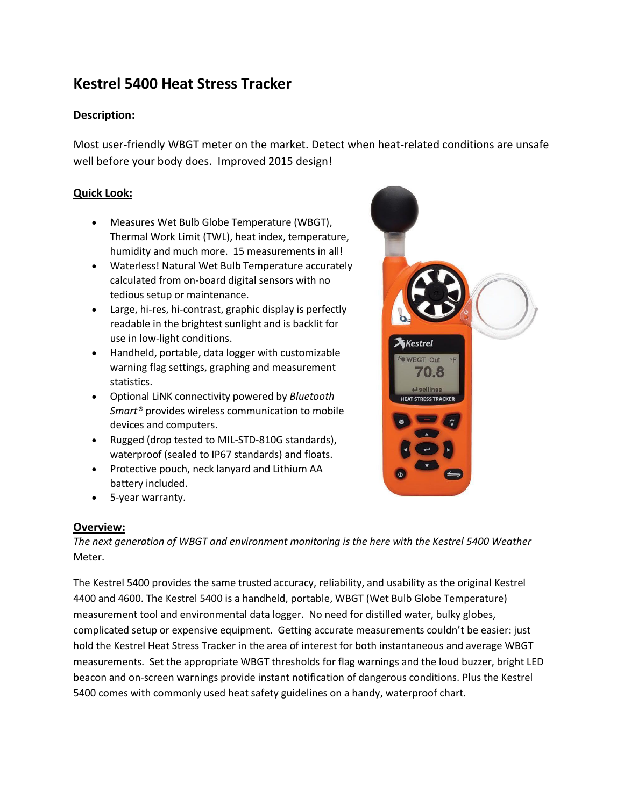# **Kestrel 5400 Heat Stress Tracker**

### **Description:**

Most user-friendly WBGT meter on the market. Detect when heat-related conditions are unsafe well before your body does. Improved 2015 design!

### **Quick Look:**

- Measures Wet Bulb Globe Temperature (WBGT), Thermal Work Limit (TWL), heat index, temperature, humidity and much more. 15 measurements in all!
- Waterless! Natural Wet Bulb Temperature accurately calculated from on-board digital sensors with no tedious setup or maintenance.
- Large, hi-res, hi-contrast, graphic display is perfectly readable in the brightest sunlight and is backlit for use in low-light conditions.
- Handheld, portable, data logger with customizable warning flag settings, graphing and measurement statistics.
- Optional LiNK connectivity powered by *Bluetooth Smart®* provides wireless communication to mobile devices and computers.
- Rugged (drop tested to MIL-STD-810G standards), waterproof (sealed to IP67 standards) and floats.
- Protective pouch, neck lanyard and Lithium AA battery included.
- 5-year warranty.

### **Overview:**

*The next generation of WBGT and environment monitoring is the here with the Kestrel 5400 Weather*  Meter.

The Kestrel 5400 provides the same trusted accuracy, reliability, and usability as the original Kestrel 4400 and 4600. The Kestrel 5400 is a handheld, portable, WBGT (Wet Bulb Globe Temperature) measurement tool and environmental data logger. No need for distilled water, bulky globes, complicated setup or expensive equipment. Getting accurate measurements couldn't be easier: just hold the Kestrel Heat Stress Tracker in the area of interest for both instantaneous and average WBGT measurements. Set the appropriate WBGT thresholds for flag warnings and the loud buzzer, bright LED beacon and on-screen warnings provide instant notification of dangerous conditions. Plus the Kestrel 5400 comes with commonly used heat safety guidelines on a handy, waterproof chart.

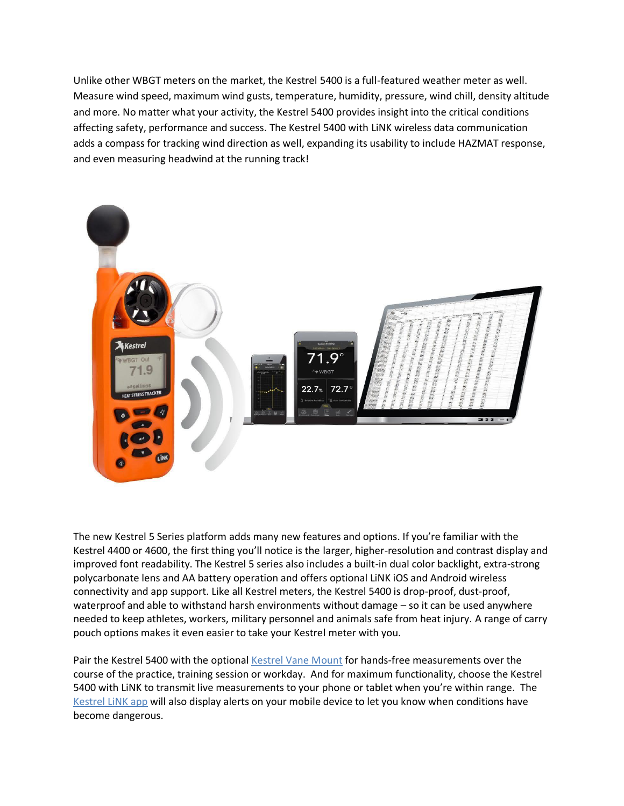Unlike other WBGT meters on the market, the Kestrel 5400 is a full-featured weather meter as well. Measure wind speed, maximum wind gusts, temperature, humidity, pressure, wind chill, density altitude and more. No matter what your activity, the Kestrel 5400 provides insight into the critical conditions affecting safety, performance and success. The Kestrel 5400 with LiNK wireless data communication adds a compass for tracking wind direction as well, expanding its usability to include HAZMAT response, and even measuring headwind at the running track!



The new Kestrel 5 Series platform adds many new features and options. If you're familiar with the Kestrel 4400 or 4600, the first thing you'll notice is the larger, higher-resolution and contrast display and improved font readability. The Kestrel 5 series also includes a built-in dual color backlight, extra-strong polycarbonate lens and AA battery operation and offers optional LiNK iOS and Android wireless connectivity and app support. Like all Kestrel meters, the Kestrel 5400 is drop-proof, dust-proof, waterproof and able to withstand harsh environments without damage – so it can be used anywhere needed to keep athletes, workers, military personnel and animals safe from heat injury. A range of carry pouch options makes it even easier to take your Kestrel meter with you.

Pair the Kestrel 5400 with the optional Kestrel Vane Mount for hands-free measurements over the course of the practice, training session or workday. And for maximum functionality, choose the Kestrel 5400 with LiNK to transmit live measurements to your phone or tablet when you're within range. The Kestrel LiNK app will also display alerts on your mobile device to let you know when conditions have become dangerous.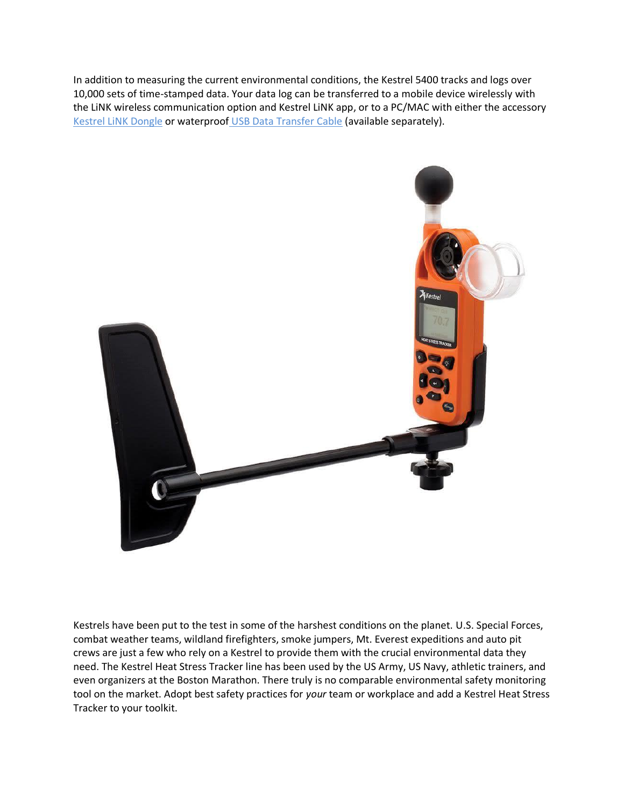In addition to measuring the current environmental conditions, the Kestrel 5400 tracks and logs over 10,000 sets of time-stamped data. Your data log can be transferred to a mobile device wirelessly with the LiNK wireless communication option and Kestrel LiNK app, or to a PC/MAC with either the accessory Kestrel LiNK Dongle or waterproof USB Data Transfer Cable (available separately).



Kestrels have been put to the test in some of the harshest conditions on the planet. U.S. Special Forces, combat weather teams, wildland firefighters, smoke jumpers, Mt. Everest expeditions and auto pit crews are just a few who rely on a Kestrel to provide them with the crucial environmental data they need. The Kestrel Heat Stress Tracker line has been used by the US Army, US Navy, athletic trainers, and even organizers at the Boston Marathon. There truly is no comparable environmental safety monitoring tool on the market. Adopt best safety practices for *your* team or workplace and add a Kestrel Heat Stress Tracker to your toolkit.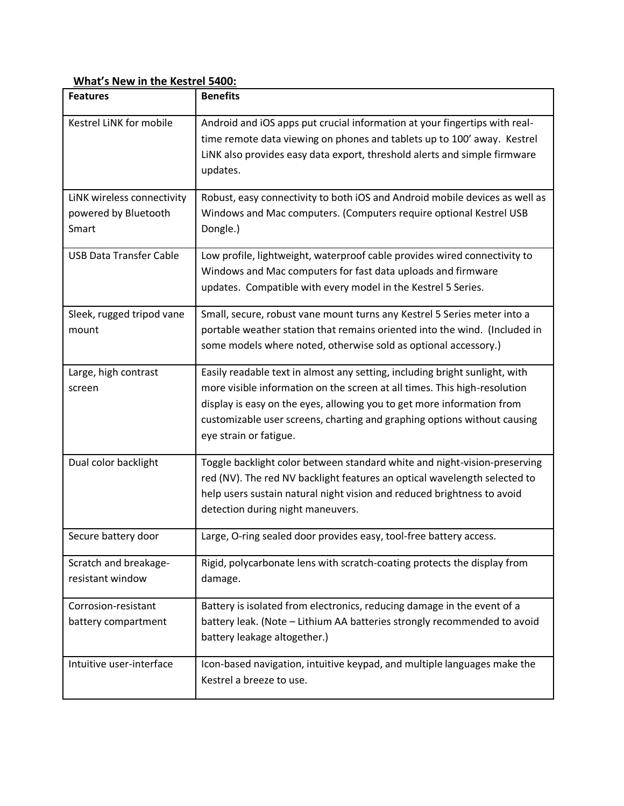## **What's New in the Kestrel 5400:**

| <b>Features</b>                                             | <b>Benefits</b>                                                                                                                                                                                                                                                                                                                          |
|-------------------------------------------------------------|------------------------------------------------------------------------------------------------------------------------------------------------------------------------------------------------------------------------------------------------------------------------------------------------------------------------------------------|
| Kestrel LINK for mobile                                     | Android and iOS apps put crucial information at your fingertips with real-<br>time remote data viewing on phones and tablets up to 100' away. Kestrel<br>LiNK also provides easy data export, threshold alerts and simple firmware<br>updates.                                                                                           |
| LINK wireless connectivity<br>powered by Bluetooth<br>Smart | Robust, easy connectivity to both iOS and Android mobile devices as well as<br>Windows and Mac computers. (Computers require optional Kestrel USB<br>Dongle.)                                                                                                                                                                            |
| <b>USB Data Transfer Cable</b>                              | Low profile, lightweight, waterproof cable provides wired connectivity to<br>Windows and Mac computers for fast data uploads and firmware<br>updates. Compatible with every model in the Kestrel 5 Series.                                                                                                                               |
| Sleek, rugged tripod vane<br>mount                          | Small, secure, robust vane mount turns any Kestrel 5 Series meter into a<br>portable weather station that remains oriented into the wind. (Included in<br>some models where noted, otherwise sold as optional accessory.)                                                                                                                |
| Large, high contrast<br>screen                              | Easily readable text in almost any setting, including bright sunlight, with<br>more visible information on the screen at all times. This high-resolution<br>display is easy on the eyes, allowing you to get more information from<br>customizable user screens, charting and graphing options without causing<br>eye strain or fatigue. |
| Dual color backlight                                        | Toggle backlight color between standard white and night-vision-preserving<br>red (NV). The red NV backlight features an optical wavelength selected to<br>help users sustain natural night vision and reduced brightness to avoid<br>detection during night maneuvers.                                                                   |
| Secure battery door                                         | Large, O-ring sealed door provides easy, tool-free battery access.                                                                                                                                                                                                                                                                       |
| Scratch and breakage-<br>resistant window                   | Rigid, polycarbonate lens with scratch-coating protects the display from<br>damage.                                                                                                                                                                                                                                                      |
| Corrosion-resistant<br>battery compartment                  | Battery is isolated from electronics, reducing damage in the event of a<br>battery leak. (Note - Lithium AA batteries strongly recommended to avoid<br>battery leakage altogether.)                                                                                                                                                      |
| Intuitive user-interface                                    | Icon-based navigation, intuitive keypad, and multiple languages make the<br>Kestrel a breeze to use.                                                                                                                                                                                                                                     |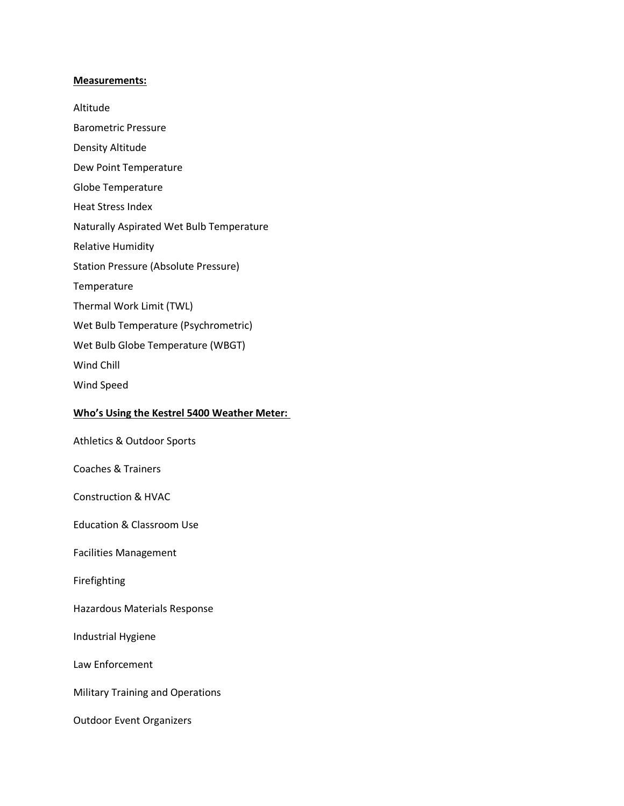#### **Measurements:**

Altitude

Barometric Pressure

- Density Altitude
- Dew Point Temperature
- Globe Temperature
- Heat Stress Index
- Naturally Aspirated Wet Bulb Temperature
- Relative Humidity
- Station Pressure (Absolute Pressure)
- Temperature
- Thermal Work Limit (TWL)
- Wet Bulb Temperature (Psychrometric)
- Wet Bulb Globe Temperature (WBGT)
- Wind Chill
- Wind Speed

#### **Who's Using the Kestrel 5400 Weather Meter:**

Athletics & Outdoor Sports

Coaches & Trainers

Construction & HVAC

Education & Classroom Use

Facilities Management

Firefighting

Hazardous Materials Response

Industrial Hygiene

Law Enforcement

Military Training and Operations

Outdoor Event Organizers